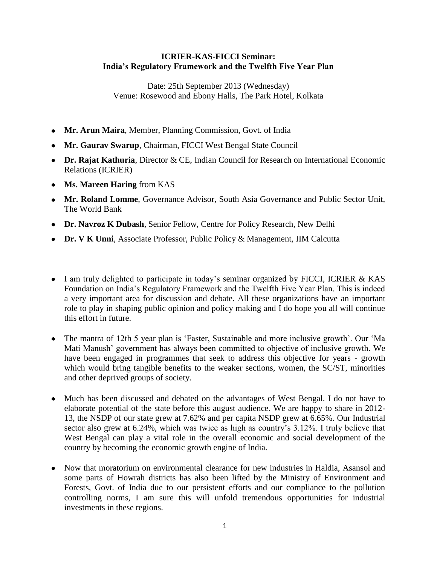## **ICRIER-KAS-FICCI Seminar: India's Regulatory Framework and the Twelfth Five Year Plan**

Date: 25th September 2013 (Wednesday) Venue: Rosewood and Ebony Halls, The Park Hotel, Kolkata

- **Mr. Arun Maira**, Member, Planning Commission, Govt. of India
- **Mr. Gaurav Swarup**, Chairman, FICCI West Bengal State Council
- **Dr. Rajat Kathuria**, Director & CE, Indian Council for Research on International Economic Relations (ICRIER)
- **Ms. Mareen Haring** from KAS
- **Mr. Roland Lomme**, Governance Advisor, South Asia Governance and Public Sector Unit, The World Bank
- **Dr. Navroz K Dubash**, Senior Fellow, Centre for Policy Research, New Delhi
- **Dr. V K Unni**, Associate Professor, Public Policy & Management, IIM Calcutta
- I am truly delighted to participate in today's seminar organized by FICCI, ICRIER & KAS Foundation on India's Regulatory Framework and the Twelfth Five Year Plan. This is indeed a very important area for discussion and debate. All these organizations have an important role to play in shaping public opinion and policy making and I do hope you all will continue this effort in future.
- The mantra of 12th 5 year plan is 'Faster, Sustainable and more inclusive growth'. Our 'Ma  $\bullet$ Mati Manush' government has always been committed to objective of inclusive growth. We have been engaged in programmes that seek to address this objective for years - growth which would bring tangible benefits to the weaker sections, women, the SC/ST, minorities and other deprived groups of society.
- Much has been discussed and debated on the advantages of West Bengal. I do not have to  $\bullet$ elaborate potential of the state before this august audience. We are happy to share in 2012- 13, the NSDP of our state grew at 7.62% and per capita NSDP grew at 6.65%. Our Industrial sector also grew at 6.24%, which was twice as high as country's 3.12%. I truly believe that West Bengal can play a vital role in the overall economic and social development of the country by becoming the economic growth engine of India.
- Now that moratorium on environmental clearance for new industries in Haldia, Asansol and some parts of Howrah districts has also been lifted by the Ministry of Environment and Forests, Govt. of India due to our persistent efforts and our compliance to the pollution controlling norms, I am sure this will unfold tremendous opportunities for industrial investments in these regions.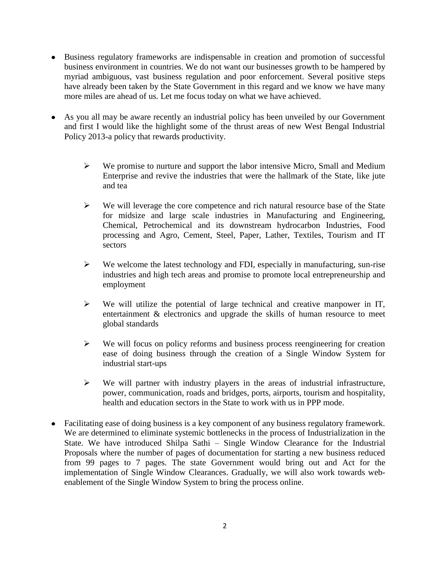- Business regulatory frameworks are indispensable in creation and promotion of successful business environment in countries. We do not want our businesses growth to be hampered by myriad ambiguous, vast business regulation and poor enforcement. Several positive steps have already been taken by the State Government in this regard and we know we have many more miles are ahead of us. Let me focus today on what we have achieved.
- As you all may be aware recently an industrial policy has been unveiled by our Government and first I would like the highlight some of the thrust areas of new West Bengal Industrial Policy 2013-a policy that rewards productivity.
	- $\triangleright$  We promise to nurture and support the labor intensive Micro, Small and Medium Enterprise and revive the industries that were the hallmark of the State, like jute and tea
	- $\triangleright$  We will leverage the core competence and rich natural resource base of the State for midsize and large scale industries in Manufacturing and Engineering, Chemical, Petrochemical and its downstream hydrocarbon Industries, Food processing and Agro, Cement, Steel, Paper, Lather, Textiles, Tourism and IT sectors
	- $\triangleright$  We welcome the latest technology and FDI, especially in manufacturing, sun-rise industries and high tech areas and promise to promote local entrepreneurship and employment
	- $\triangleright$  We will utilize the potential of large technical and creative manpower in IT, entertainment & electronics and upgrade the skills of human resource to meet global standards
	- $\triangleright$  We will focus on policy reforms and business process reengineering for creation ease of doing business through the creation of a Single Window System for industrial start-ups
	- $\triangleright$  We will partner with industry players in the areas of industrial infrastructure, power, communication, roads and bridges, ports, airports, tourism and hospitality, health and education sectors in the State to work with us in PPP mode.
- Facilitating ease of doing business is a key component of any business regulatory framework. We are determined to eliminate systemic bottlenecks in the process of Industrialization in the State. We have introduced Shilpa Sathi – Single Window Clearance for the Industrial Proposals where the number of pages of documentation for starting a new business reduced from 99 pages to 7 pages. The state Government would bring out and Act for the implementation of Single Window Clearances. Gradually, we will also work towards webenablement of the Single Window System to bring the process online.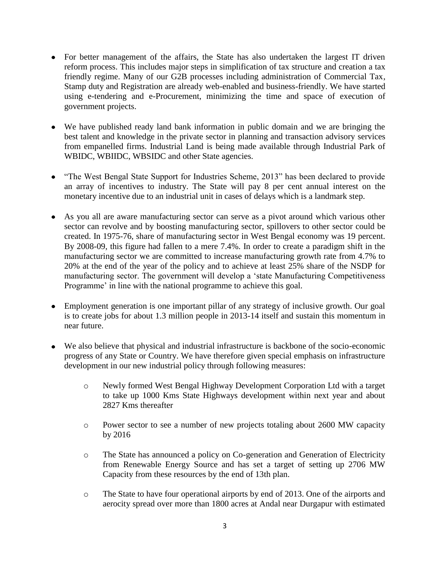- For better management of the affairs, the State has also undertaken the largest IT driven reform process. This includes major steps in simplification of tax structure and creation a tax friendly regime. Many of our G2B processes including administration of Commercial Tax, Stamp duty and Registration are already web-enabled and business-friendly. We have started using e-tendering and e-Procurement, minimizing the time and space of execution of government projects.
- We have published ready land bank information in public domain and we are bringing the best talent and knowledge in the private sector in planning and transaction advisory services from empanelled firms. Industrial Land is being made available through Industrial Park of WBIDC, WBIIDC, WBSIDC and other State agencies.
- "The West Bengal State Support for Industries Scheme, 2013" has been declared to provide an array of incentives to industry. The State will pay 8 per cent annual interest on the monetary incentive due to an industrial unit in cases of delays which is a landmark step.
- As you all are aware manufacturing sector can serve as a pivot around which various other sector can revolve and by boosting manufacturing sector, spillovers to other sector could be created. In 1975-76, share of manufacturing sector in West Bengal economy was 19 percent. By 2008-09, this figure had fallen to a mere 7.4%. In order to create a paradigm shift in the manufacturing sector we are committed to increase manufacturing growth rate from 4.7% to 20% at the end of the year of the policy and to achieve at least 25% share of the NSDP for manufacturing sector. The government will develop a 'state Manufacturing Competitiveness Programme' in line with the national programme to achieve this goal.
- Employment generation is one important pillar of any strategy of inclusive growth. Our goal is to create jobs for about 1.3 million people in 2013-14 itself and sustain this momentum in near future.
- We also believe that physical and industrial infrastructure is backbone of the socio-economic progress of any State or Country. We have therefore given special emphasis on infrastructure development in our new industrial policy through following measures:
	- o Newly formed West Bengal Highway Development Corporation Ltd with a target to take up 1000 Kms State Highways development within next year and about 2827 Kms thereafter
	- o Power sector to see a number of new projects totaling about 2600 MW capacity by 2016
	- o The State has announced a policy on Co-generation and Generation of Electricity from Renewable Energy Source and has set a target of setting up 2706 MW Capacity from these resources by the end of 13th plan.
	- o The State to have four operational airports by end of 2013. One of the airports and aerocity spread over more than 1800 acres at Andal near Durgapur with estimated